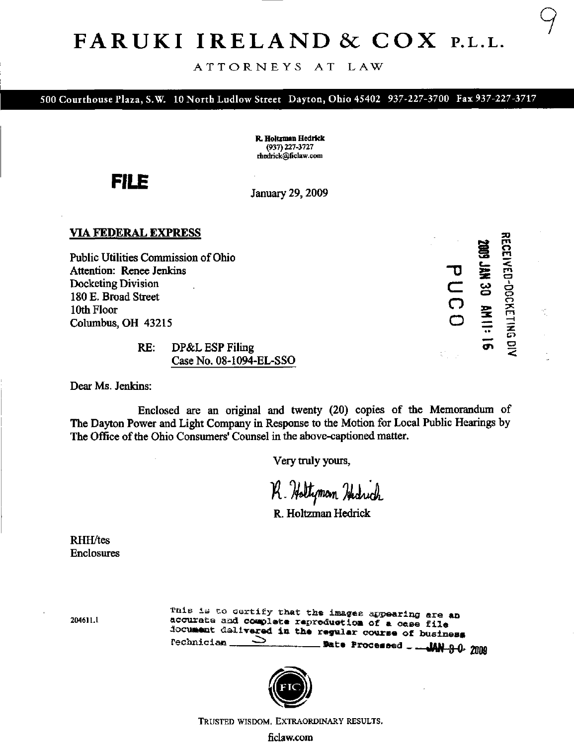# FARUKI IRELAND & COX P.L.L.

### ATTORNEYS AT LAW

500 Courthouse Plaza, S.W. 10 North Ludlow Street Dayton, Ohio 45402 937-227-3700 Fax 937-227-3717

R. Holtzman Hediick (937)227-3727 rhedrick@ficlaw.com

FILE

January 29,2009

### VIA FEDERAL EXPRESS

Public Utilities Commission of Ohio Attention: Renee Jenkins Docketing Division 180 E. Broad Street 10th Floor Columbus, OH 43215

<sup>73</sup>r\*» rn S o  $\leq$  $C$  as  $\frac{1}{2}$ O  $\Box \equiv \exists$ o o o

RE: DP&L ESP Filing CaseNo. 08-1094-EL-SSO

Dear Ms. Jenkins:

Enclosed are an original and twenty (20) copies of the Memorandum of The Dayton Power and Light Company in Response to the Motion for Local Public Hearings by The Office of the Ohio Consumers' Counsel in the above-captioned matter.

Very truly yours,

R. Holtzman Hedrich

R. Holtzman Hedrick

RHH/tes Enclosures

204611.

This is to certify that the images appearing are an accurate and complete reproduction of a case file document dalivered in the regular course of business Sate Processed \_ JAN 9 0- 2009



TRUSTED WISDOM. EXTRAORDINARY RESULTS.

[ficlaw.co](http://ficlaw.com)m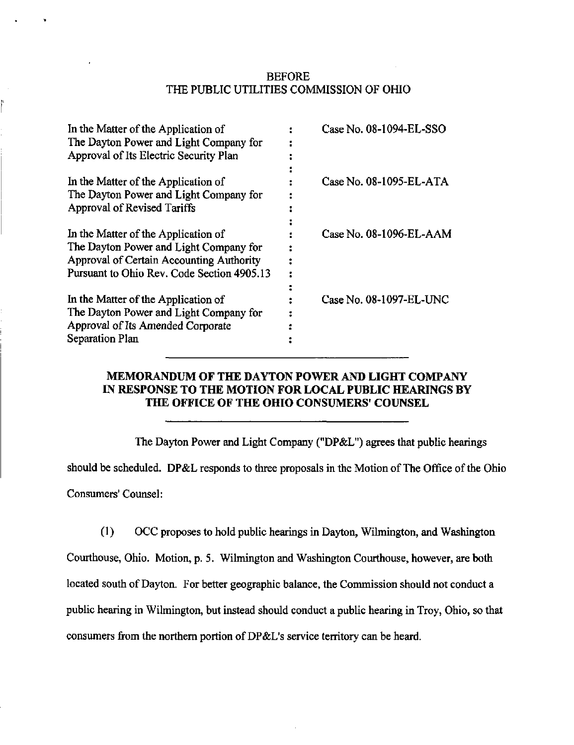# BEFORE THE PUBLIC UTILITIES COMMISSION OF OHIO

| In the Matter of the Application of        | Case No. 08-1094-EL-SSO |
|--------------------------------------------|-------------------------|
| The Dayton Power and Light Company for     |                         |
| Approval of Its Electric Security Plan     |                         |
| In the Matter of the Application of        | Case No. 08-1095-EL-ATA |
| The Dayton Power and Light Company for     |                         |
| Approval of Revised Tariffs                |                         |
| In the Matter of the Application of        | Case No. 08-1096-EL-AAM |
| The Dayton Power and Light Company for     |                         |
| Approval of Certain Accounting Authority   |                         |
| Pursuant to Ohio Rev. Code Section 4905.13 |                         |
|                                            |                         |
| In the Matter of the Application of        | Case No. 08-1097-EL-UNC |
| The Dayton Power and Light Company for     |                         |
| Approval of Its Amended Corporate          |                         |
| <b>Separation Plan</b>                     |                         |
|                                            |                         |

# MEMORANDUM OF THE DAYTON POWER AND LIGHT COMPANY IN RESPONSE TO THE MOTION FOR LOCAL PUBLIC HEARINGS BY THE OFFICE OF THE OHIO CONSUMERS' COUNSEL

The Dayton Power and Light Company ("DP&L") agrees that public hearings

should be scheduled. DP&L responds to three proposals in the Motion of The Office of the Ohio

Consumers' Counsel:

(1) OCC proposes to hold public hearings in Dayton, Wilmington, and Washington

Coxuthouse, Ohio. Motion, p. 5. Wilmington and Washington Courthouse, however, are both located south of Dayton. For better geographic balance, the Commission should not conduct a public hearing in Wilmington, but instead should conduct a public hearing in Troy, Ohio, so that consumers from the northern portion of DP&L's service territory can be heard.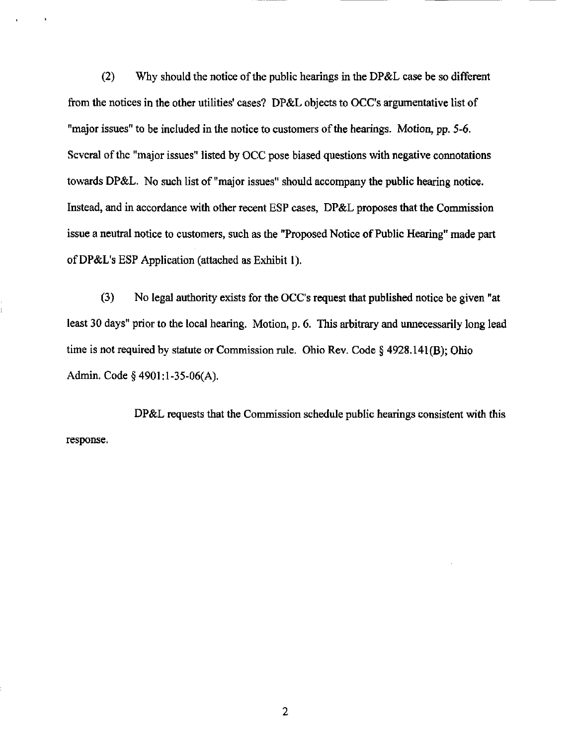(2) Why should the notice of the public hearings in the DP&L case be so different from the notices in the other utilities' cases? DP&L objects to OCC's argumentative list of "major issues" to be included in the notice to customers of the hearings. Motion, pp. 5-6. Several of the "major issues" listed by OCC pose biased questions with negative connotations towards DP&L. No such list of "major issues" should accompany the public hearing notice. Instead, and in accordance with other recent ESP cases, DP&L proposes that the Commission issue a neutral notice to customers, such as the "Proposed Notice of Public Hearing" made part of DP&L's ESP Application (attached as Exhibit 1).

(3) No legal authority exists for the OCC's request that published notice be given "at least 30 days" prior to the local hearing. Motion, p. 6. This arbitrary and unnecessarily long lead time is not required by statute or Commission rule. Ohio Rev. Code § 4928.141(B); Ohio Admin. Code § 4901:l-35-06(A).

DP&L requests that the Commission schedule public hearings consistent with this response.

 $\overline{c}$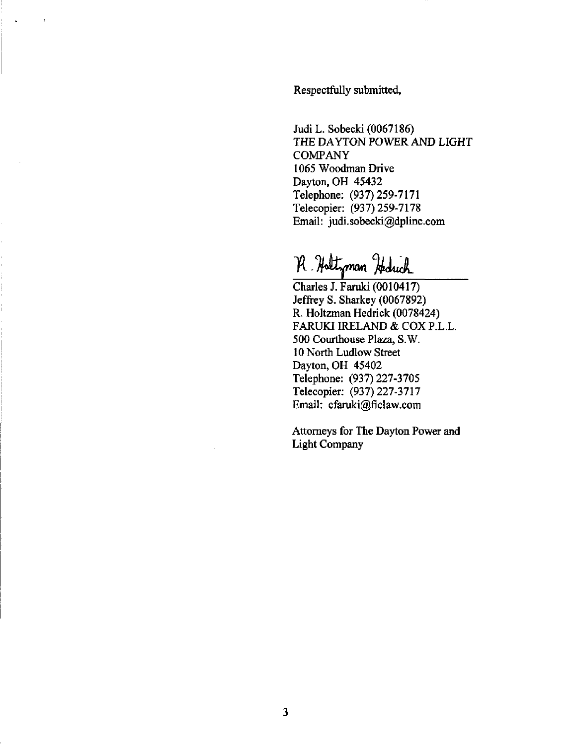Respectfully submitted.

Judi L. Sobecki (0067186) THE DAYTON POWER AND LIGHT **COMPANY** 1065 Woodman Drive Dayton, OH 45432 Telephone: (937)259-7171 Telecopier: (937)259-7178 Email: [judi.sobecki@dplinc.com](mailto:judi.sobecki@dplinc.com) 

R. Holtzman Hechich

Charles J. Faruki (0010417) Jeffrey S. Sharkey (0067892) R. Holtzman Hedrick (0078424) FARUKI IRELAND & COX P.L.L. 500 Courthouse Plaza, S.W. 10 North Ludlow Street Dayton, OH 45402 Telephone: (937) 227-3705 Telecopier: (937)227-3717 Email: [cfaruki@ficlaw.com](mailto:cfaruki@ficlaw.com)

Attorneys for The Dayton Power and Light Company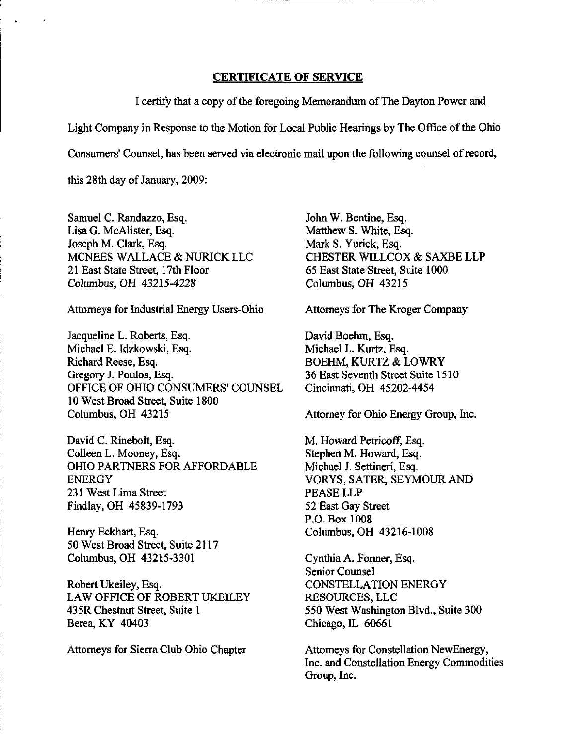## CERTIFICATE OF SERVICE

I certify that a copy of the foregoing Memorandum of The Dayton Power and Light Company in Response to the Motion for Local Public Hearings by The Office of the Ohio Consumers' Counsel, has been served via electronic mail upon the following counsel of record, this 28th day of January, 2009:

Samuel C. Randazzo, Esq. Lisa G. McAlister, Esq. Joseph M. Clark, Esq. MCNEES WALLACE & NURICK LLC 21 East State Street, 17th Floor Columbus, OH 43215-4228

Attorneys for Industrial Energy Users-Ohio

Jacqueline L. Roberts, Esq. Michael E. Idzkowski, Esq. Richard Reese, Esq. Gregory J. Poulos, Esq. OFFICE OF OHIO CONSUMERS' COUNSEL 10 West Broad Street, Suite 1800 Columbus, OH 43215

David C. Rinebolt, Esq. Colleen L. Mooney, Esq. OHIO PARTNERS FOR AFFORDABLE ENERGY 231 West Lima Street Findlay, OH 45839-1793

Henry Eckhart, Esq. 50 West Broad Street, Suite 2117 Columbus, OH 43215-3301

Robert Ukeiley, Esq, LAW OFFICE OF ROBERT UKEILEY 435R Chestnut Street, Suite 1 Berea, KY 40403

Attorneys for Sierra Club Ohio Chapter

John W. Bentine, Esq. Matthew S. White, Esq. Mark S. Yurick, Esq. CHESTER WILLCOX & SAXBE LLP 65 East State Street, Suite 1000 Columbus, OH 43215

Attorneys for The Kroger Company

David Boehm, Esq. Michael L. Kurtz, Esq. BOEHM, KURTZ & LOWRY 36 East Seventh Street Suite 1510 Cincinnati, OH 45202-4454

Attorney for Ohio Energy Group, Inc.

M. Howard Petricoff, Esq. Stephen M. Howard, Esq. Michael J. Settineri, Esq. VORYS, SATER, SEYMOUR AND PEASE LLP 52 East Gay Street P.O. Box 1008 Columbus, OH 43216-1008

Cynthia A. Fonner, Esq. Senior Counsel CONSTELLATION ENERGY RESOURCES, LLC 550 West Washington Blvd., Suite 300 Chicago, IL 60661

Attorneys for Constellation NewEnergy, Inc. and Constellation Energy Commodities Group, Inc.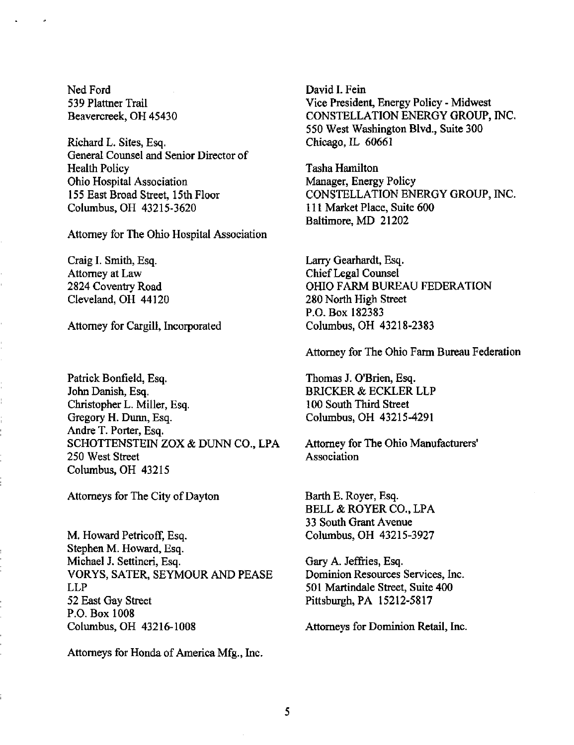Ned Ford 539 Plattner Trail Beavercreek, OH 45430

Richard L, Sites, Esq. General Counsel and Senior Director of Health Policy Ohio Hospital Association 155 East Broad Stteet, 15th Floor Columbus, OH 43215-3620

Attorney for The Ohio Hospital Association

Craig I. Smith, Esq. Attorney at Law 2824 Coventry Road Cleveland, OH 44120

Attorney for Cargill, Incorporated

Patrick Bonfield, Esq. John Danish, Esq. Christopher L. Miller, Esq. Gregory H. Dunn, Esq. Andre T. Porter, Esq. SCHOTTENSTEIN ZOX & DUNN CO., LPA 250 West Street Columbus, OH 43215

Attorneys for The City of Dayton

M. Howard Petricoff, Esq. Stephen M. Howard, Esq. Michael J. Settineri, Esq. VORYS, SATER, SEYMOUR AND PEASE LLP 52 East Gay Street P.O. Box 1008 Columbus, OH 43216-1008

Attorneys for Honda of America Mfg., Inc.

David I. Fein Vice President, Energy Policy - Midwest CONSTELLATION ENERGY GROUP, INC. 550 West Washington Blvd., Suite 300 Chicago, IL 60661

Tasha Hamilton Manager, Energy Policy CONSTELLATION ENERGY GROUP, INC. 111 Market Place, Suite 600 Baltimore, MD 21202

Larry Gearhardt, Esq. Chief Legal Counsel OHIO FARM BUREAU FEDERATION 280 North High Street P.O. Box 182383 Columbus, OH 43218-2383

Attorney for The Ohio Farm Bureau Federation

Thomas J. O'Brien, Esq. BRICKER & ECKLER LLP 100 South Third Street Columbus, OH 43215-4291

Attorney for The Ohio Manufacturers' Association

Barth E. Royer, Esq. BELL & ROYER CO., LPA 33 South Grant Avenue Columbus, OH 43215-3927

Gary A. Jeffries, Esq. Dominion Resources Services, Inc. 501 Martindale Stteet, Suite 400 Pittsburgh, PA 15212-5817

Attomeys for Dominion Retail, Inc.

5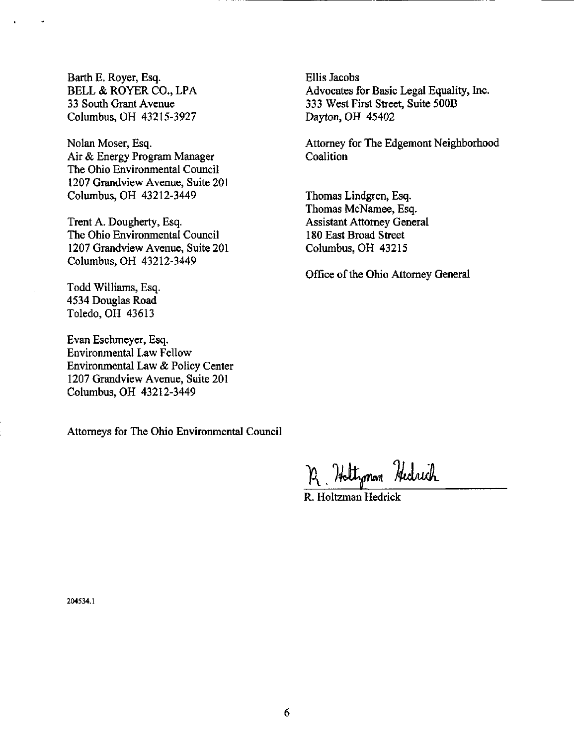Barth E. Royer, Esq. BELL & ROYER CO., LPA 33 South Grant Avenue Columbus, OH 43215-3927

Nolan Moser, Esq. Air & Energy Program Manager The Ohio Environmental Council 1207 Grandview Avenue, Suite 201 Columbus, OH 43212-3449

Trent A. Dougherty, Esq. The Ohio Environmental Council 1207 Grandview Avenue, Suite 201 Columbus, OH 43212-3449

Todd Williams, Esq. 4534 Douglas Road Toledo, OH 43613

Evan Eschmeyer, Esq. Environmental Law Fellow Environmental Law & Policy Center 1207 Grandview Avenue, Suite 201 Columbus, OH 43212-3449

Attomeys for The Ohio Environmental Council

Ellis Jacobs Advocates for Basic Legal Equality, Inc. 333 West First Stteet, Suite 500B Dayton, OH 45402

Attorney for The Edgemont Neighborhood **Coalition** 

Thomas Lindgren, Esq. Thomas McNamee, Esq. Assistant Attorney General 180 East Broad Street Columbus, OH 43215

Office of the Ohio Attorney General

R. Haltzman Hedrich

R. Holtzman Hedrick

204534.1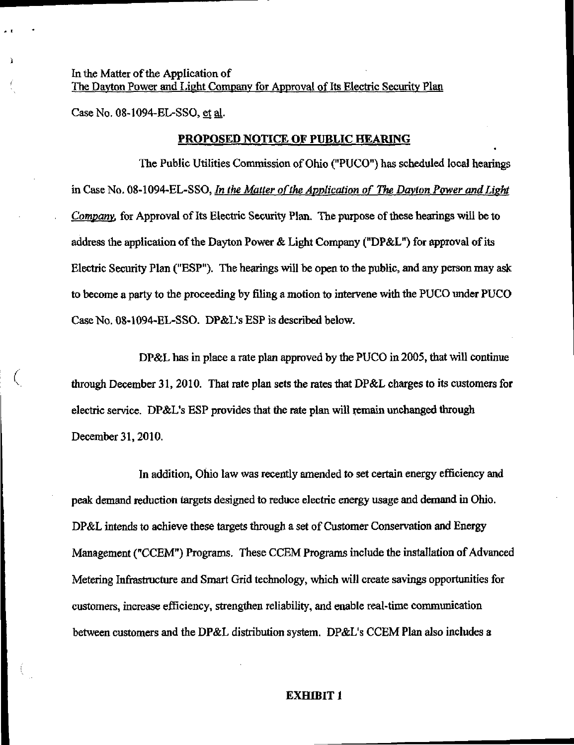In the Matter of the Application of The Dayton Power and Light Company for Approval of Its Electric Security Plan The Davton Power and Light Company for Approval of Its Electric Security Plan

Case No. 08-1094-EL-SSO, et al. Case No. 08-1094-EL-SSO, et ^.

# PROPOSED NOTICE OF PUBLIC HEARING

The Public Utilities Commission of Ohio ("PUCO") has scheduled local hearings The Public Utilities  $P$ uco ("PUC") has scheduled local hearings  $\mathcal{P}$ in Case No. 08-1094-EL-SSO, In the Matter of the Application of The Dayton Power and Light in Case No. 08-1094-EL-SSO, In the Matter of the Application of The Davton Power andLiekt Company, for Approval of Its Electric Security Plan. The purpose of these hearings will be to Company, for Approval of Its Electric Security Plan. The purpose of these hearings will be to address the application of the Dayton Power  $\mathcal{L}$  is the Dayton Power  $\mathcal{L}$ Electric Security Plan ("ESP"). The hearings will be open to the public, and any person may ask to become a party to the proceeding by filing a motion to intervene with the PUCO under PUCO Case No. 08-1094-EL-SSO. DP&L's ESP is described below.

DP&L has in place a rate plan approved by the PUCO in 2005, that will continue through December 31, 2010. That rate plan sets the rates that DP&L charges to its customers for electric service. DP&L's ESP provides that the rate plan will remain unchanged through December 31,2010.

In addition, Ohio law was recently amended to set certain energy efficiency and peak demand reduction targets designed to reduce electric energy usage and demand in Ohio. DP&L intends to achieve these targets through a set of Customer Conservation and Energy Management ("CCEM") Programs. These CCEM Programs include the installation of Advanced Metering Infrastructure and Smart Grid technology, which will create savings opportunities for customers, increase efficiency, strengthen reliability, and enable real-time communication between customers and the DP&L distribution system. DP&L's CCEM Plan also includes a

#### EXHIBIT 1